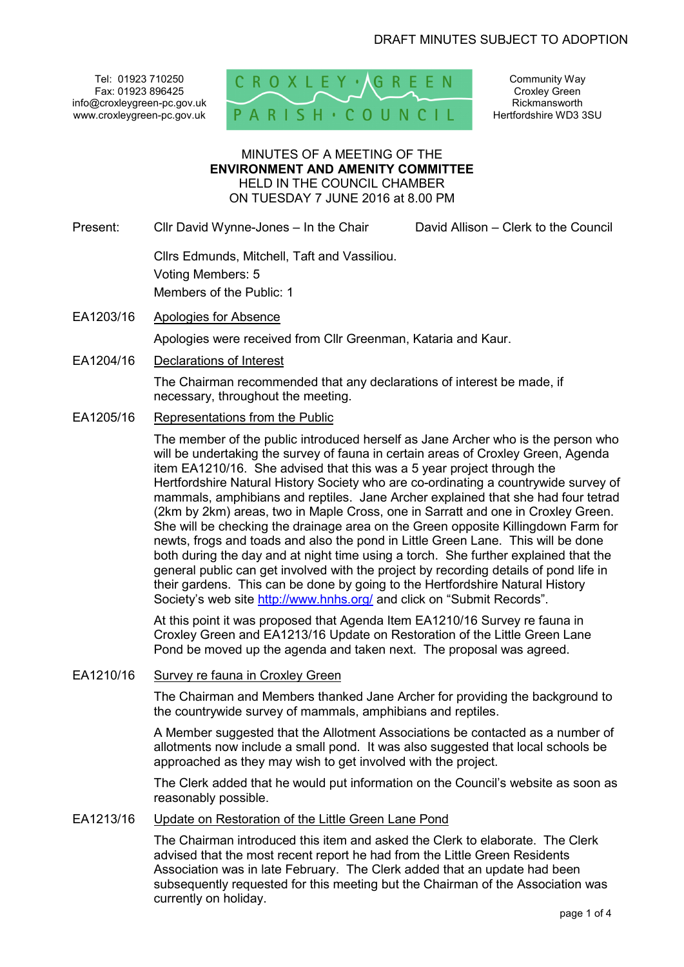Tel: 01923 710250 Fax: 01923 896425 info@croxleygreen-pc.gov.uk www.croxleygreen-pc.gov.uk



Community Way Croxley Green Rickmansworth Hertfordshire WD3 3SU

### MINUTES OF A MEETING OF THE **ENVIRONMENT AND AMENITY COMMITTEE** HELD IN THE COUNCIL CHAMBER ON TUESDAY 7 JUNE 2016 at 8.00 PM

Present: Cllr David Wynne-Jones – In the Chair David Allison – Clerk to the Council

 Cllrs Edmunds, Mitchell, Taft and Vassiliou. Voting Members: 5 Members of the Public: 1

- EA1203/16 Apologies for Absence Apologies were received from Cllr Greenman, Kataria and Kaur.
- EA1204/16 Declarations of Interest

The Chairman recommended that any declarations of interest be made, if necessary, throughout the meeting.

EA1205/16 Representations from the Public

The member of the public introduced herself as Jane Archer who is the person who will be undertaking the survey of fauna in certain areas of Croxley Green, Agenda item EA1210/16. She advised that this was a 5 year project through the Hertfordshire Natural History Society who are co-ordinating a countrywide survey of mammals, amphibians and reptiles. Jane Archer explained that she had four tetrad (2km by 2km) areas, two in Maple Cross, one in Sarratt and one in Croxley Green. She will be checking the drainage area on the Green opposite Killingdown Farm for newts, frogs and toads and also the pond in Little Green Lane. This will be done both during the day and at night time using a torch. She further explained that the general public can get involved with the project by recording details of pond life in their gardens. This can be done by going to the Hertfordshire Natural History Society's web site http://www.hnhs.org/ and click on "Submit Records".

 At this point it was proposed that Agenda Item EA1210/16 Survey re fauna in Croxley Green and EA1213/16 Update on Restoration of the Little Green Lane Pond be moved up the agenda and taken next. The proposal was agreed.

EA1210/16 Survey re fauna in Croxley Green

The Chairman and Members thanked Jane Archer for providing the background to the countrywide survey of mammals, amphibians and reptiles.

A Member suggested that the Allotment Associations be contacted as a number of allotments now include a small pond. It was also suggested that local schools be approached as they may wish to get involved with the project.

The Clerk added that he would put information on the Council's website as soon as reasonably possible.

### EA1213/16 Update on Restoration of the Little Green Lane Pond

The Chairman introduced this item and asked the Clerk to elaborate. The Clerk advised that the most recent report he had from the Little Green Residents Association was in late February. The Clerk added that an update had been subsequently requested for this meeting but the Chairman of the Association was currently on holiday.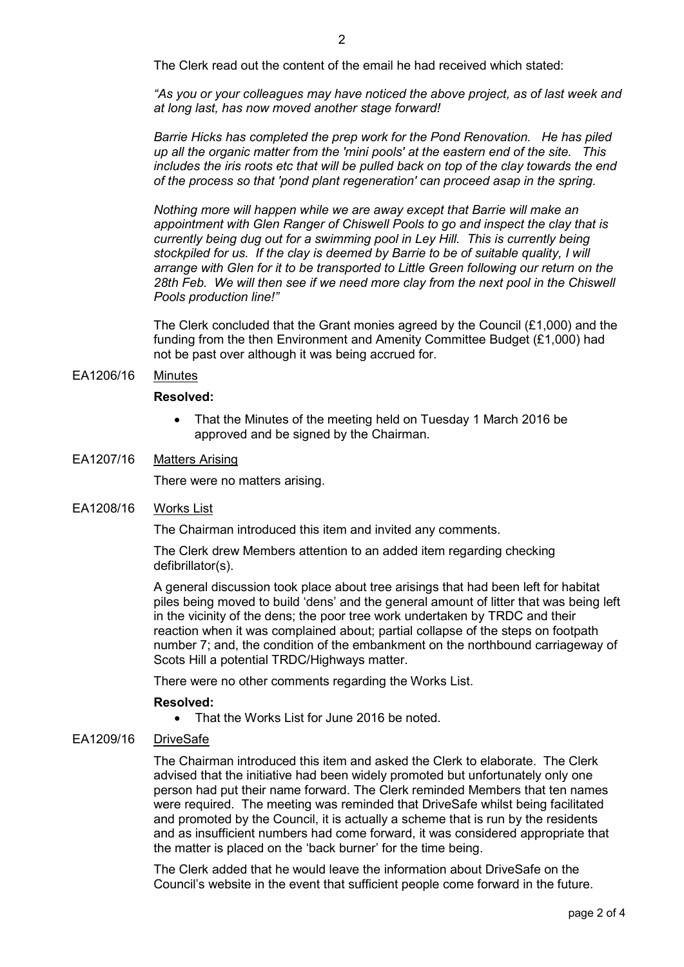*"As you or your colleagues may have noticed the above project, as of last week and at long last, has now moved another stage forward!* 

*Barrie Hicks has completed the prep work for the Pond Renovation. He has piled up all the organic matter from the 'mini pools' at the eastern end of the site. This includes the iris roots etc that will be pulled back on top of the clay towards the end of the process so that 'pond plant regeneration' can proceed asap in the spring.* 

*Nothing more will happen while we are away except that Barrie will make an appointment with Glen Ranger of Chiswell Pools to go and inspect the clay that is currently being dug out for a swimming pool in Ley Hill. This is currently being stockpiled for us. If the clay is deemed by Barrie to be of suitable quality, I will arrange with Glen for it to be transported to Little Green following our return on the*  28th Feb. We will then see if we need more clay from the next pool in the Chiswell *Pools production line!"* 

The Clerk concluded that the Grant monies agreed by the Council (£1,000) and the funding from the then Environment and Amenity Committee Budget (£1,000) had not be past over although it was being accrued for.

### EA1206/16 Minutes

#### **Resolved:**

• That the Minutes of the meeting held on Tuesday 1 March 2016 be approved and be signed by the Chairman.

## EA1207/16 Matters Arising

There were no matters arising.

### EA1208/16 Works List

The Chairman introduced this item and invited any comments.

The Clerk drew Members attention to an added item regarding checking defibrillator(s).

A general discussion took place about tree arisings that had been left for habitat piles being moved to build 'dens' and the general amount of litter that was being left in the vicinity of the dens; the poor tree work undertaken by TRDC and their reaction when it was complained about; partial collapse of the steps on footpath number 7; and, the condition of the embankment on the northbound carriageway of Scots Hill a potential TRDC/Highways matter.

There were no other comments regarding the Works List.

### **Resolved:**

• That the Works List for June 2016 be noted.

### EA1209/16 DriveSafe

The Chairman introduced this item and asked the Clerk to elaborate. The Clerk advised that the initiative had been widely promoted but unfortunately only one person had put their name forward. The Clerk reminded Members that ten names were required. The meeting was reminded that DriveSafe whilst being facilitated and promoted by the Council, it is actually a scheme that is run by the residents and as insufficient numbers had come forward, it was considered appropriate that the matter is placed on the 'back burner' for the time being.

The Clerk added that he would leave the information about DriveSafe on the Council's website in the event that sufficient people come forward in the future.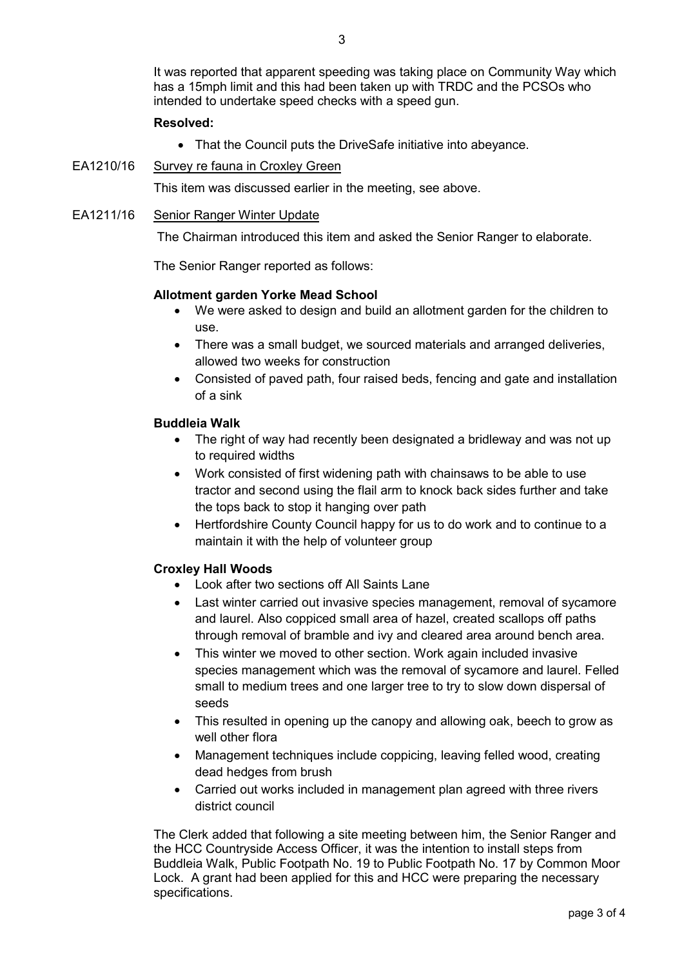It was reported that apparent speeding was taking place on Community Way which has a 15mph limit and this had been taken up with TRDC and the PCSOs who intended to undertake speed checks with a speed gun.

## **Resolved:**

- That the Council puts the DriveSafe initiative into abeyance.
- EA1210/16 Survey re fauna in Croxley Green

This item was discussed earlier in the meeting, see above.

### EA1211/16 Senior Ranger Winter Update

The Chairman introduced this item and asked the Senior Ranger to elaborate.

The Senior Ranger reported as follows:

### **Allotment garden Yorke Mead School**

- We were asked to design and build an allotment garden for the children to use.
- There was a small budget, we sourced materials and arranged deliveries, allowed two weeks for construction
- Consisted of paved path, four raised beds, fencing and gate and installation of a sink

## **Buddleia Walk**

- The right of way had recently been designated a bridleway and was not up to required widths
- Work consisted of first widening path with chainsaws to be able to use tractor and second using the flail arm to knock back sides further and take the tops back to stop it hanging over path
- Hertfordshire County Council happy for us to do work and to continue to a maintain it with the help of volunteer group

# **Croxley Hall Woods**

- Look after two sections off All Saints Lane
- Last winter carried out invasive species management, removal of sycamore and laurel. Also coppiced small area of hazel, created scallops off paths through removal of bramble and ivy and cleared area around bench area.
- This winter we moved to other section. Work again included invasive species management which was the removal of sycamore and laurel. Felled small to medium trees and one larger tree to try to slow down dispersal of seeds
- This resulted in opening up the canopy and allowing oak, beech to grow as well other flora
- Management techniques include coppicing, leaving felled wood, creating dead hedges from brush
- Carried out works included in management plan agreed with three rivers district council

The Clerk added that following a site meeting between him, the Senior Ranger and the HCC Countryside Access Officer, it was the intention to install steps from Buddleia Walk, Public Footpath No. 19 to Public Footpath No. 17 by Common Moor Lock. A grant had been applied for this and HCC were preparing the necessary specifications.